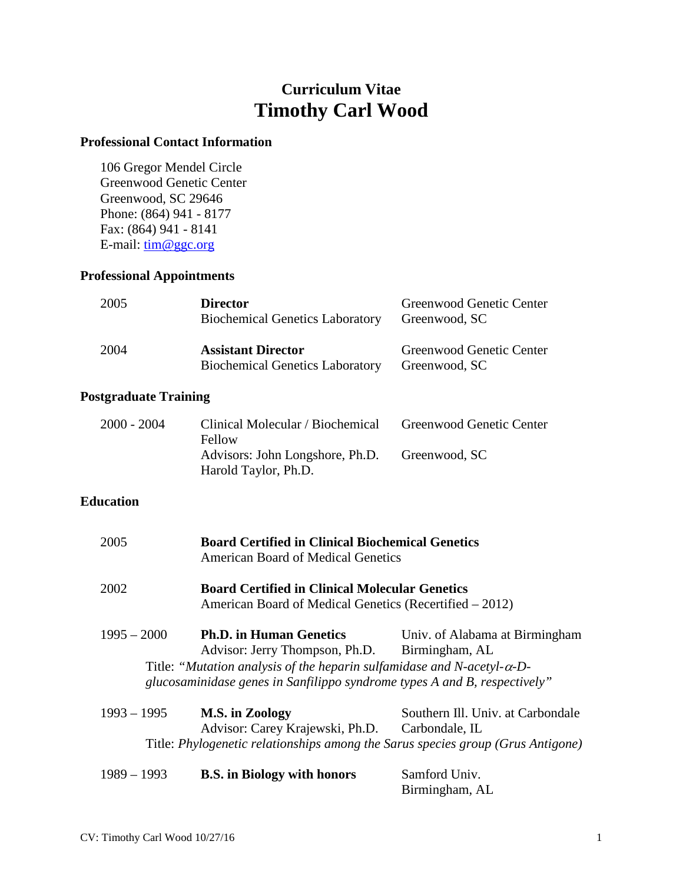# **Curriculum Vitae Timothy Carl Wood**

#### **Professional Contact Information**

106 Gregor Mendel Circle Greenwood Genetic Center Greenwood, SC 29646 Phone: (864) 941 - 8177 Fax: (864) 941 - 8141 E-mail:  $lim @ggc.org$ 

# **Professional Appointments**

| 2005 | <b>Director</b><br><b>Biochemical Genetics Laboratory</b>           | Greenwood Genetic Center<br>Greenwood, SC |
|------|---------------------------------------------------------------------|-------------------------------------------|
| 2004 | <b>Assistant Director</b><br><b>Biochemical Genetics Laboratory</b> | Greenwood Genetic Center<br>Greenwood, SC |

# **Postgraduate Training**

| 2000 - 2004 | Clinical Molecular / Biochemical<br>Fellow              | Greenwood Genetic Center |
|-------------|---------------------------------------------------------|--------------------------|
|             | Advisors: John Longshore, Ph.D.<br>Harold Taylor, Ph.D. | Greenwood, SC            |

## **Education**

| 2005          | <b>Board Certified in Clinical Biochemical Genetics</b><br><b>American Board of Medical Genetics</b>                                                         |                                                     |
|---------------|--------------------------------------------------------------------------------------------------------------------------------------------------------------|-----------------------------------------------------|
| 2002          | <b>Board Certified in Clinical Molecular Genetics</b><br>American Board of Medical Genetics (Recertified – 2012)                                             |                                                     |
| $1995 - 2000$ | <b>Ph.D. in Human Genetics</b><br>Advisor: Jerry Thompson, Ph.D.                                                                                             | Univ. of Alabama at Birmingham<br>Birmingham, AL    |
|               | Title: "Mutation analysis of the heparin sulfamidase and N-acetyl- $\alpha$ -D-<br>glucosaminidase genes in Sanfilippo syndrome types A and B, respectively" |                                                     |
| $1993 - 1995$ | M.S. in Zoology<br>Advisor: Carey Krajewski, Ph.D.<br>Title: Phylogenetic relationships among the Sarus species group (Grus Antigone)                        | Southern III. Univ. at Carbondale<br>Carbondale, IL |
| $1989 - 1993$ | <b>B.S.</b> in Biology with honors                                                                                                                           | Samford Univ.                                       |

Birmingham, AL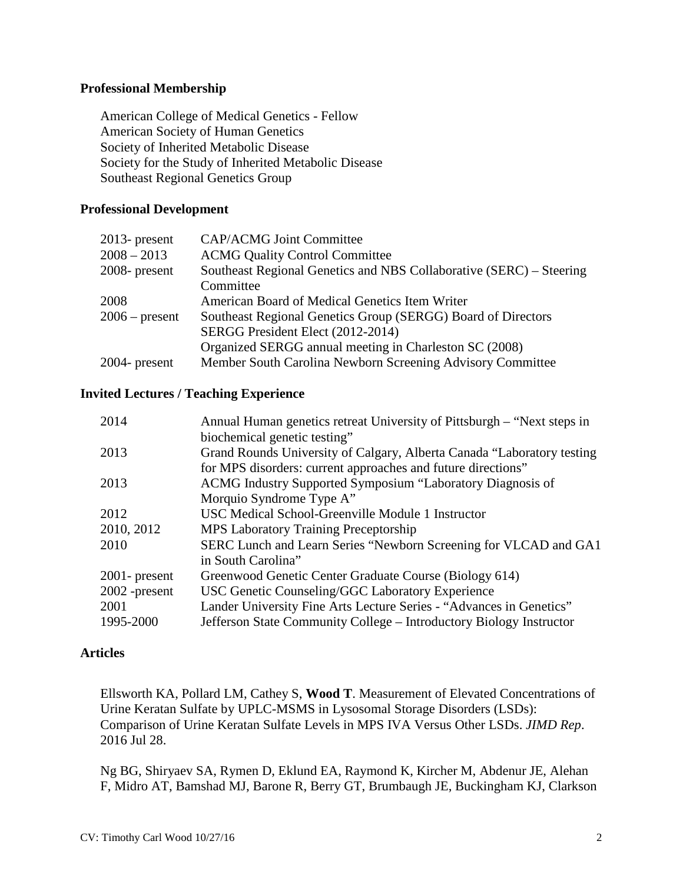#### **Professional Membership**

American College of Medical Genetics - Fellow American Society of Human Genetics Society of Inherited Metabolic Disease Society for the Study of Inherited Metabolic Disease Southeast Regional Genetics Group

#### **Professional Development**

| $2013$ - present | <b>CAP/ACMG Joint Committee</b>                                     |
|------------------|---------------------------------------------------------------------|
| $2008 - 2013$    | <b>ACMG Quality Control Committee</b>                               |
| $2008$ - present | Southeast Regional Genetics and NBS Collaborative (SERC) – Steering |
|                  | Committee                                                           |
| 2008             | American Board of Medical Genetics Item Writer                      |
| $2006$ – present | Southeast Regional Genetics Group (SERGG) Board of Directors        |
|                  | SERGG President Elect (2012-2014)                                   |
|                  | Organized SERGG annual meeting in Charleston SC (2008)              |
| $2004$ - present | Member South Carolina Newborn Screening Advisory Committee          |

#### **Invited Lectures / Teaching Experience**

| 2014             | Annual Human genetics retreat University of Pittsburgh – "Next steps in |
|------------------|-------------------------------------------------------------------------|
|                  | biochemical genetic testing"                                            |
| 2013             | Grand Rounds University of Calgary, Alberta Canada "Laboratory testing  |
|                  | for MPS disorders: current approaches and future directions"            |
| 2013             | ACMG Industry Supported Symposium "Laboratory Diagnosis of              |
|                  | Morquio Syndrome Type A"                                                |
| 2012             | USC Medical School-Greenville Module 1 Instructor                       |
| 2010, 2012       | <b>MPS Laboratory Training Preceptorship</b>                            |
| 2010             | SERC Lunch and Learn Series "Newborn Screening for VLCAD and GA1        |
|                  | in South Carolina"                                                      |
| $2001$ - present | Greenwood Genetic Center Graduate Course (Biology 614)                  |
| $2002$ -present  | USC Genetic Counseling/GGC Laboratory Experience                        |
| 2001             | Lander University Fine Arts Lecture Series - "Advances in Genetics"     |
| 1995-2000        | Jefferson State Community College – Introductory Biology Instructor     |
|                  |                                                                         |

#### **Articles**

Ellsworth KA, Pollard LM, Cathey S, **Wood T**. Measurement of Elevated Concentrations of Urine Keratan Sulfate by UPLC-MSMS in Lysosomal Storage Disorders (LSDs): Comparison of Urine Keratan Sulfate Levels in MPS IVA Versus Other LSDs. *JIMD Rep*. 2016 Jul 28.

Ng BG, Shiryaev SA, Rymen D, Eklund EA, Raymond K, Kircher M, Abdenur JE, Alehan F, Midro AT, Bamshad MJ, Barone R, Berry GT, Brumbaugh JE, Buckingham KJ, Clarkson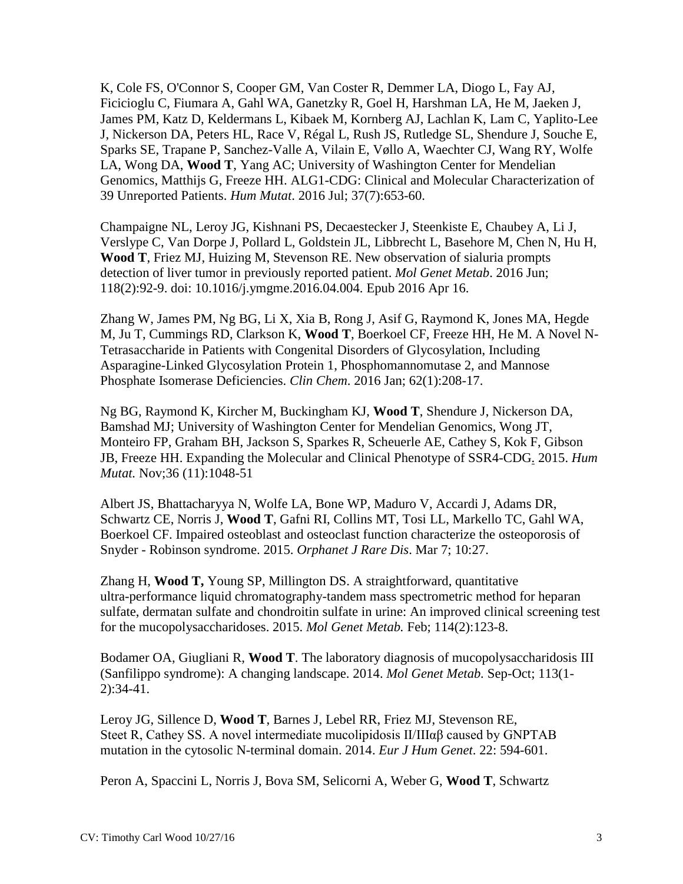K, Cole FS, O'Connor S, Cooper GM, Van Coster R, Demmer LA, Diogo L, Fay AJ, Ficicioglu C, Fiumara A, Gahl WA, Ganetzky R, Goel H, Harshman LA, He M, Jaeken J, James PM, Katz D, Keldermans L, Kibaek M, Kornberg AJ, Lachlan K, Lam C, Yaplito-Lee J, Nickerson DA, Peters HL, Race V, Régal L, Rush JS, Rutledge SL, Shendure J, Souche E, Sparks SE, Trapane P, Sanchez-Valle A, Vilain E, Vøllo A, Waechter CJ, Wang RY, Wolfe LA, Wong DA, **Wood T**, Yang AC; University of Washington Center for Mendelian Genomics, Matthijs G, Freeze HH. ALG1-CDG: Clinical and Molecular Characterization of 39 Unreported Patients. *Hum Mutat*. 2016 Jul; 37(7):653-60.

Champaigne NL, Leroy JG, Kishnani PS, Decaestecker J, Steenkiste E, Chaubey A, Li J, Verslype C, Van Dorpe J, Pollard L, Goldstein JL, Libbrecht L, Basehore M, Chen N, Hu H, **Wood T**, Friez MJ, Huizing M, Stevenson RE. New observation of sialuria prompts detection of liver tumor in previously reported patient. *Mol Genet Metab*. 2016 Jun; 118(2):92-9. doi: 10.1016/j.ymgme.2016.04.004. Epub 2016 Apr 16.

Zhang W, James PM, Ng BG, Li X, Xia B, Rong J, Asif G, Raymond K, Jones MA, Hegde M, Ju T, Cummings RD, Clarkson K, **Wood T**, Boerkoel CF, Freeze HH, He M. A Novel N-Tetrasaccharide in Patients with Congenital Disorders of Glycosylation, Including Asparagine-Linked Glycosylation Protein 1, Phosphomannomutase 2, and Mannose Phosphate Isomerase Deficiencies. *Clin Chem*. 2016 Jan; 62(1):208-17.

Ng BG, Raymond K, Kircher M, Buckingham KJ, **Wood T**, Shendure J, Nickerson DA, Bamshad MJ; University of Washington Center for Mendelian Genomics, Wong JT, Monteiro FP, Graham BH, Jackson S, Sparkes R, Scheuerle AE, Cathey S, Kok F, Gibson JB, Freeze HH. [Expanding the Molecular and Clinical Phenotype of SSR4-CDG.](http://www.ncbi.nlm.nih.gov/pubmed/26264460) 2015. *Hum Mutat.* Nov;36 (11):1048-51

Albert JS, Bhattacharyya N, Wolfe LA, Bone WP, Maduro V, Accardi J, Adams DR, Schwartz CE, Norris J, **Wood T**, Gafni RI, Collins MT, Tosi LL, Markello TC, Gahl WA, Boerkoel CF. Impaired osteoblast and osteoclast function characterize the osteoporosis of Snyder - Robinson syndrome. 2015. *Orphanet J Rare Dis*. Mar 7; 10:27.

Zhang H, **Wood T,** Young SP, Millington DS. A straightforward, quantitative ultra-performance liquid chromatography-tandem mass spectrometric method for heparan sulfate, dermatan sulfate and chondroitin sulfate in urine: An improved clinical screening test for the mucopolysaccharidoses. 2015. *Mol Genet Metab.* Feb; 114(2):123-8.

Bodamer OA, Giugliani R, **Wood T**. The laboratory diagnosis of mucopolysaccharidosis III (Sanfilippo syndrome): A changing landscape. 2014. *Mol Genet Metab.* Sep-Oct; 113(1- 2):34-41.

Leroy JG, Sillence D, **Wood T**, Barnes J, Lebel RR, Friez MJ, Stevenson RE, Steet R, Cathey SS. A novel intermediate mucolipidosis  $II/III\alpha\beta$  caused by GNPTAB mutation in the cytosolic N-terminal domain. 2014. *Eur J Hum Genet*. 22: 594-601.

Peron A, Spaccini L, Norris J, Bova SM, Selicorni A, Weber G, **Wood T**, Schwartz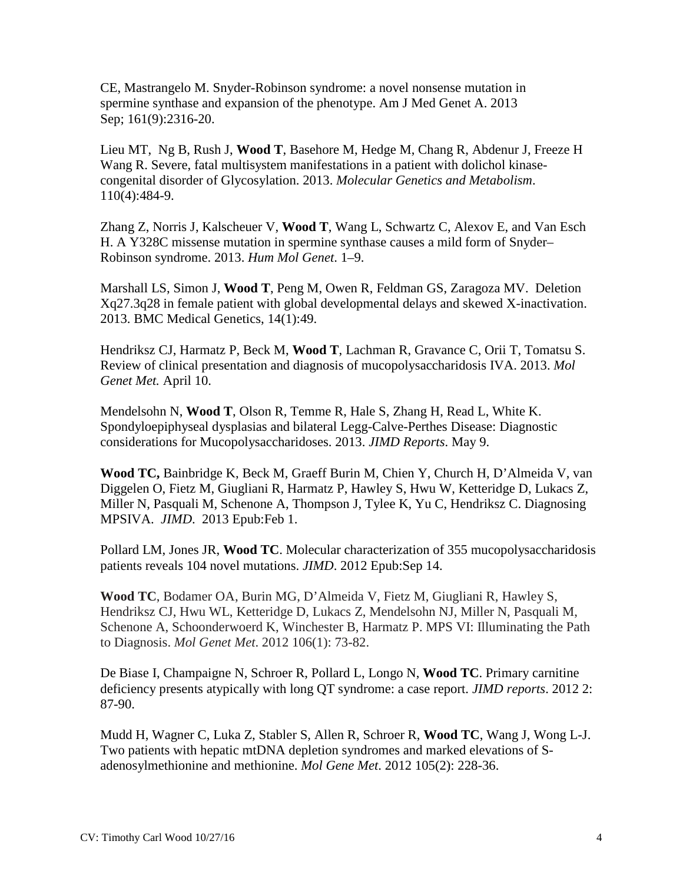CE, Mastrangelo M. Snyder-Robinson syndrome: a novel nonsense mutation in spermine synthase and expansion of the phenotype. Am J Med Genet A. 2013 Sep; 161(9):2316-20.

Lieu MT, Ng B, Rush J, **Wood T**, Basehore M, Hedge M, Chang R, Abdenur J, Freeze H Wang R. Severe, fatal multisystem manifestations in a patient with dolichol kinasecongenital disorder of Glycosylation. 2013. *Molecular Genetics and Metabolism*. 110(4):484-9.

Zhang Z, Norris J, Kalscheuer V, **Wood T**, Wang L, Schwartz C, Alexov E, and Van Esch H. A Y328C missense mutation in spermine synthase causes a mild form of Snyder– Robinson syndrome. 2013. *Hum Mol Genet*. 1–9.

Marshall LS, Simon J, **Wood T**, Peng M, Owen R, Feldman GS, Zaragoza MV. Deletion Xq27.3q28 in female patient with global developmental delays and skewed X-inactivation. 2013. BMC Medical Genetics, 14(1):49.

Hendriksz CJ, Harmatz P, Beck M, **Wood T**, Lachman R, Gravance C, Orii T, Tomatsu S. Review of clinical presentation and diagnosis of mucopolysaccharidosis IVA. 2013. *Mol Genet Met.* April 10.

Mendelsohn N, **Wood T**, Olson R, Temme R, Hale S, Zhang H, Read L, White K. Spondyloepiphyseal dysplasias and bilateral Legg-Calve-Perthes Disease: Diagnostic considerations for Mucopolysaccharidoses. 2013. *JIMD Reports*. May 9.

**Wood TC,** Bainbridge K, Beck M, Graeff Burin M, Chien Y, Church H, D'Almeida V, van Diggelen O, Fietz M, Giugliani R, Harmatz P, Hawley S, Hwu W, Ketteridge D, Lukacs Z, Miller N, Pasquali M, Schenone A, Thompson J, Tylee K, Yu C, Hendriksz C. Diagnosing MPSIVA. *JIMD*. 2013 Epub:Feb 1.

Pollard LM, Jones JR, **Wood TC**. Molecular characterization of 355 mucopolysaccharidosis patients reveals 104 novel mutations. *JIMD*. 2012 Epub:Sep 14.

**Wood TC**, Bodamer OA, Burin MG, D'Almeida V, Fietz M, Giugliani R, Hawley S, Hendriksz CJ, Hwu WL, Ketteridge D, Lukacs Z, Mendelsohn NJ, Miller N, Pasquali M, Schenone A, Schoonderwoerd K, Winchester B, Harmatz P. MPS VI: Illuminating the Path to Diagnosis. *Mol Genet Met*. 2012 106(1): 73-82.

De Biase I, Champaigne N, Schroer R, Pollard L, Longo N, **Wood TC**. Primary carnitine deficiency presents atypically with long QT syndrome: a case report. *JIMD reports*. 2012 2: 87-90.

Mudd H, Wagner C, Luka Z, Stabler S, Allen R, Schroer R, **Wood TC**, Wang J, Wong L-J. Two patients with hepatic mtDNA depletion syndromes and marked elevations of Sadenosylmethionine and methionine. *Mol Gene Met*. 2012 105(2): 228-36.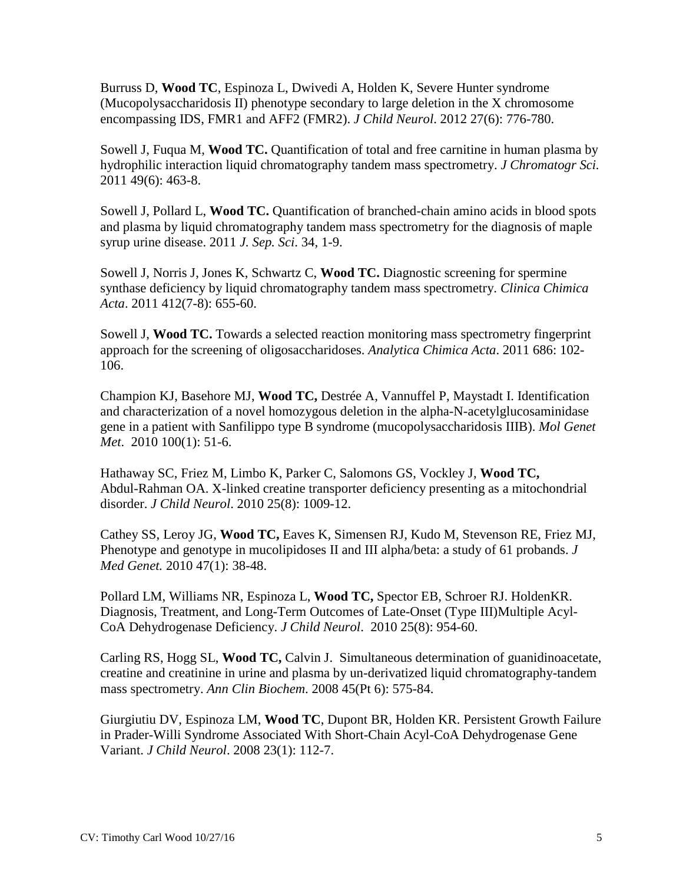Burruss D, **Wood TC**, Espinoza L, Dwivedi A, Holden K, Severe Hunter syndrome (Mucopolysaccharidosis II) phenotype secondary to large deletion in the X chromosome encompassing IDS, FMR1 and AFF2 (FMR2). *J Child Neurol*. 2012 27(6): 776-780.

Sowell J, Fuqua M, **Wood TC.** Quantification of total and free carnitine in human plasma by hydrophilic interaction liquid chromatography tandem mass spectrometry. *J Chromatogr Sci.* 2011 49(6): 463-8.

Sowell J, Pollard L, **Wood TC.** Quantification of branched-chain amino acids in blood spots and plasma by liquid chromatography tandem mass spectrometry for the diagnosis of maple syrup urine disease. 2011 *J. Sep. Sci*. 34, 1-9.

Sowell J, Norris J, Jones K, Schwartz C, **Wood TC.** Diagnostic screening for spermine synthase deficiency by liquid chromatography tandem mass spectrometry. *Clinica Chimica Acta*. 2011 412(7-8): 655-60.

Sowell J, **Wood TC.** Towards a selected reaction monitoring mass spectrometry fingerprint approach for the screening of oligosaccharidoses. *Analytica Chimica Acta*. 2011 686: 102- 106.

Champion KJ, Basehore MJ, **Wood TC,** Destrée A, Vannuffel P, Maystadt I. Identification and characterization of a novel homozygous deletion in the alpha-N-acetylglucosaminidase gene in a patient with Sanfilippo type B syndrome (mucopolysaccharidosis IIIB). *Mol Genet Met*. 2010 100(1): 51-6.

Hathaway SC, Friez M, Limbo K, Parker C, Salomons GS, Vockley J, **Wood TC,** Abdul-Rahman OA. X-linked creatine transporter deficiency presenting as a mitochondrial disorder. *J Child Neurol*. 2010 25(8): 1009-12.

Cathey SS, Leroy JG, **Wood TC,** Eaves K, Simensen RJ, Kudo M, Stevenson RE, Friez MJ, Phenotype and genotype in mucolipidoses II and III alpha/beta: a study of 61 probands. *J Med Genet.* 2010 47(1): 38-48.

Pollard LM, Williams NR, Espinoza L, **Wood TC,** Spector EB, Schroer RJ. HoldenKR. Diagnosis, Treatment, and Long-Term Outcomes of Late-Onset (Type III)Multiple Acyl-CoA Dehydrogenase Deficiency. *J Child Neurol*. 2010 25(8): 954-60.

Carling RS, Hogg SL, **Wood TC,** Calvin J. Simultaneous determination of guanidinoacetate, creatine and creatinine in urine and plasma by un-derivatized liquid chromatography-tandem mass spectrometry. *Ann Clin Biochem*. 2008 45(Pt 6): 575-84.

Giurgiutiu DV, Espinoza LM, **Wood TC**, Dupont BR, Holden KR. Persistent Growth Failure in Prader-Willi Syndrome Associated With Short-Chain Acyl-CoA Dehydrogenase Gene Variant. *J Child Neurol*. 2008 23(1): 112-7.